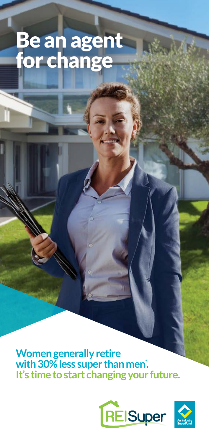# Be an agent for change

**Women generally retire** with 30% less super than men<sup>\*</sup>. **It's time to start changing your future.**





North of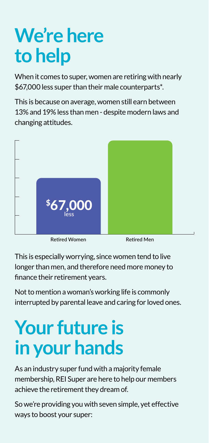# **We're here to help**

When it comes to super, women are retiring with nearly \$67,000 less super than their male counterparts\*.

This is because on average, women still earn between 13% and 19% less than men - despite modern laws and changing attitudes.



Retired Women Retired Men

This is especially worrying, since women tend to live longer than men, and therefore need more money to finance their retirement years.

Not to mention a woman's working life is commonly interrupted by parental leave and caring for loved ones.

# **Your future is in your hands**

As an industry super fund with a majority female membership, REI Super are here to help our members achieve the retirement they dream of.

So we're providing you with seven simple, yet effective ways to boost your super: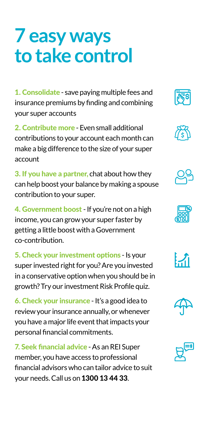## **7 easy ways to take control**

1. Consolidate - save paying multiple fees and insurance premiums by finding and combining your super accounts

2. Contribute more - Even small additional contributions to your account each month can make a big difference to the size of your super account

3. If you have a partner, chat about how they can help boost your balance by making a spouse contribution to your super.

4. Government boost - If you're not on a high income, you can grow your super faster by getting a little boost with a Government co-contribution.

5. Check your investment options - Is your super invested right for you? Are you invested in a conservative option when you should be in growth? Try our investment Risk Profile quiz.

6. Check your insurance - It's a good idea to review your insurance annually, or whenever you have a major life event that impacts your personal financial commitments.

7. Seek financial advice - As an REI Super member, you have access to professional financial advisors who can tailor advice to suit your needs. Call us on 1300 13 44 33.